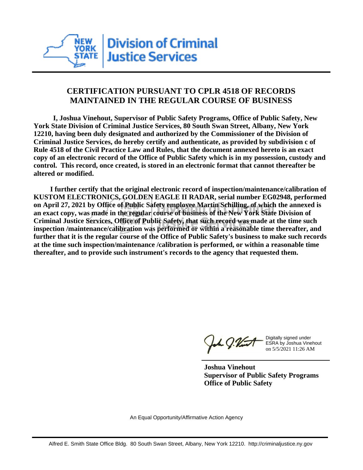

## **CERTIFICATION PURSUANT TO CPLR 4518 OF RECORDS MAINTAINED IN THE REGULAR COURSE OF BUSINESS**

 **I, Joshua Vinehout, Supervisor of Public Safety Programs, Office of Public Safety, New York State Division of Criminal Justice Services, 80 South Swan Street, Albany, New York 12210, having been duly designated and authorized by the Commissioner of the Division of Criminal Justice Services, do hereby certify and authenticate, as provided by subdivision c of Rule 4518 of the Civil Practice Law and Rules, that the document annexed hereto is an exact copy of an electronic record of the Office of Public Safety which is in my possession, custody and control. This record, once created, is stored in an electronic format that cannot thereafter be altered or modified.**

 **I further certify that the original electronic record of inspection/maintenance/calibration of KUSTOM ELECTRONICS, GOLDEN EAGLE II RADAR, serial number EG02948, performed on April 27, 2021 by Office of Public Safety employee Martin Schilling, of which the annexed is an exact copy, was made in the regular course of business of the New York State Division of Criminal Justice Services, Office of Public Safety, that such record was made at the time such inspection /maintenance/calibration was performed or within a reasonable time thereafter, and further that it is the regular course of the Office of Public Safety's business to make such records at the time such inspection/maintenance /calibration is performed, or within a reasonable time thereafter, and to provide such instrument's records to the agency that requested them.**

the g. Vint

Digitally signed under ESRA by Joshua Vinehout on 5/5/2021 11:26 AM

**Joshua Vinehout Supervisor of Public Safety Programs Office of Public Safety**

An Equal Opportunity/Affirmative Action Agency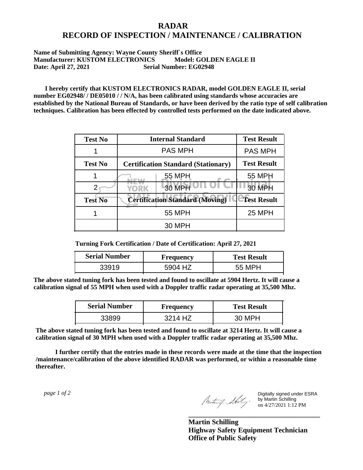## **RADAR RECORD OF INSPECTION / MAINTENANCE / CALIBRATION**

## **Name of Submitting Agency: Wayne County Sheriff`s Office Manufacturer: KUSTOM ELECTRONICS Model: GOLDEN EAGLE II Date: April 27, 2021 Serial Number: EG02948**

 **I hereby certify that KUSTOM ELECTRONICS RADAR, model GOLDEN EAGLE II, serial number EG02948/ / DE05010 / / N/A, has been calibrated using standards whose accuracies are established by the National Bureau of Standards, or have been derived by the ratio type of self calibration techniques. Calibration has been effected by controlled tests performed on the date indicated above.**

| <b>Test No</b> | <b>Internal Standard</b>                   | <b>Test Result</b> |
|----------------|--------------------------------------------|--------------------|
|                | <b>PAS MPH</b>                             | <b>PAS MPH</b>     |
| <b>Test No</b> | <b>Certification Standard (Stationary)</b> | <b>Test Result</b> |
|                | 55 MPH                                     | 55 MPH             |
|                | 30 MPH<br><b>YORK</b>                      | 30 MPH             |
| <b>Test No</b> | <b>Certification Standard (Moving)</b>     | <b>Test Result</b> |
|                | <b>55 MPH</b>                              | <b>25 MPH</b>      |
|                | 30 MPH                                     |                    |

**Turning Fork Certification / Date of Certification: April 27, 2021**

| <b>Serial Number</b> | Frequency | <b>Test Result</b> |
|----------------------|-----------|--------------------|
| 33919                | 5904 HZ   | 55 MPH             |

**The above stated tuning fork has been tested and found to oscillate at 5904 Hertz. It will cause a calibration signal of 55 MPH when used with a Doppler traffic radar operating at 35,500 Mhz.**

| <b>Serial Number</b> | <b>Frequency</b> | <b>Test Result</b> |
|----------------------|------------------|--------------------|
| 33899                | H/               | 30 MPH             |

**The above stated tuning fork has been tested and found to oscillate at 3214 Hertz. It will cause a calibration signal of 30 MPH when used with a Doppler traffic radar operating at 35,500 Mhz.**

 **I further certify that the entries made in these records were made at the time that the inspection /maintenance/calibration of the above identified RADAR was performed, or within a reasonable time thereafter.**

 *page 1 of 2* 

Digitally signed under ESRA by Martin Schilling on 4/27/2021 1:12 PM

**Martin Schilling Highway Safety Equipment Technician Office of Public Safety**

**\_\_\_\_\_\_\_\_\_\_\_\_\_\_\_\_\_\_\_\_\_\_\_\_\_\_\_\_\_\_\_\_\_\_\_\_\_**